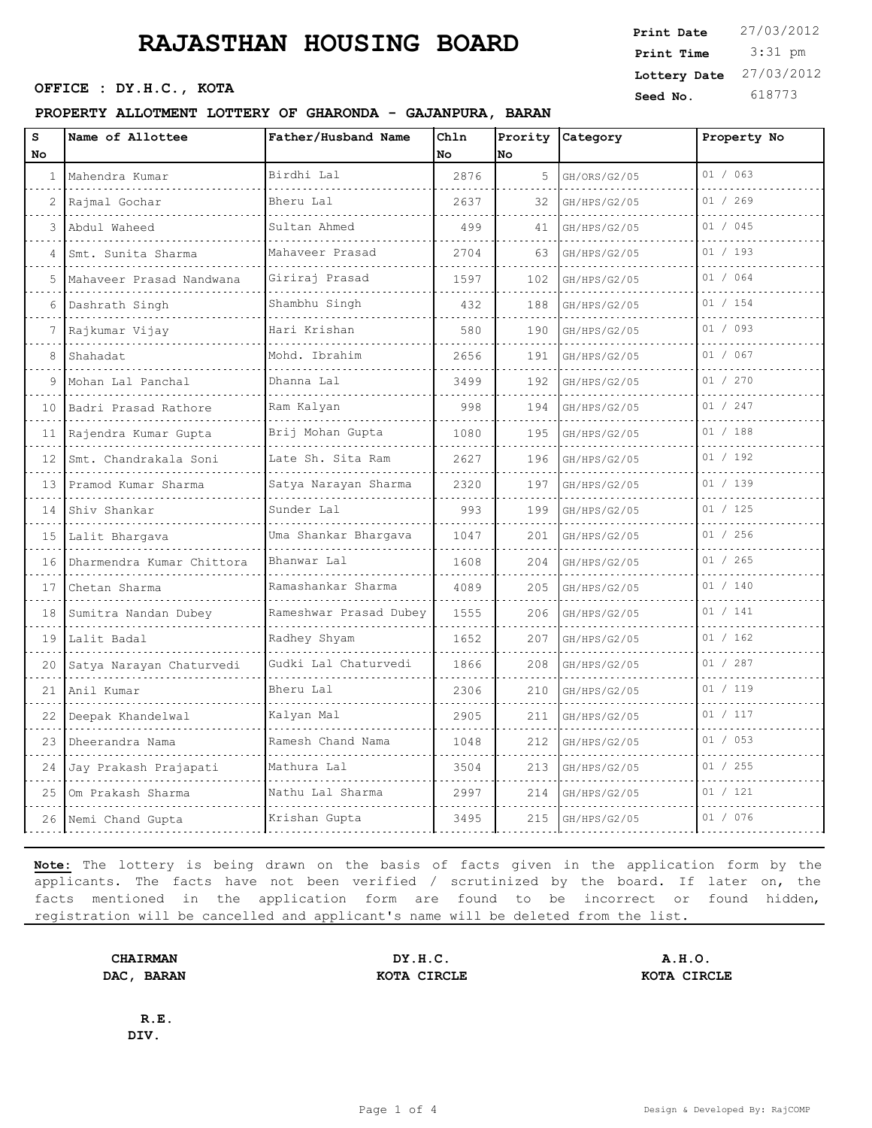# **RAJASTHAN HOUSING BOARD** Print Pate 27/03/2012

**SEED OFFICE : DY.H.C., KOTA Seed No.** 618773

#### **PROPERTY ALLOTMENT LOTTERY OF GHARONDA - GAJANPURA, BARAN**

| Print Date              | 27/03/2012 |
|-------------------------|------------|
| Print Time              | $3:31$ pm  |
| Lottery Date 27/03/2012 |            |
|                         |            |

| S<br><b>No</b> | Name of Allottee          | Father/Husband Name         | Chln<br>No | Prority<br>No | <b>Category</b> | Property No |
|----------------|---------------------------|-----------------------------|------------|---------------|-----------------|-------------|
|                | 1 Mahendra Kumar          | Birdhi Lal                  | 2876       | 5             | GH/ORS/G2/05    | 01 / 063    |
| 2              | Rajmal Gochar             | Bheru Lal                   | 2637       | 32            | GH/HPS/G2/05    | 01 / 269    |
| 3              | Abdul Waheed              | Sultan Ahmed                | 499        | 41            | GH/HPS/G2/05    | 01 / 045    |
| 4              | Smt. Sunita Sharma        | Mahaveer Prasad             | 2704       | 63            | GH/HPS/G2/05    | 01 / 193    |
| 5.             | Mahaveer Prasad Nandwana  | Giriraj Prasad              | 1597       | 102           | GH/HPS/G2/05    | 01 / 064    |
| 6              | Dashrath Singh            | Shambhu Singh               | 432        | 188           | GH/HPS/G2/05    | 01 / 154    |
| 7              | Rajkumar Vijay            | Hari Krishan                | 580        | 190           | GH/HPS/G2/05    | 01 / 093    |
| 8              | Shahadat                  | Mohd. Ibrahim               | 2656       | 191           | GH/HPS/G2/05    | 01 / 067    |
| 9              | Mohan Lal Panchal         | Dhanna Lal                  | 3499       | 192           | GH/HPS/G2/05    | 01 / 270    |
| 10             | Badri Prasad Rathore      | Ram Kalyan                  | 998        | 194           | GH/HPS/G2/05    | 01 / 247    |
| 11             | Rajendra Kumar Gupta      | Brij Mohan Gupta            | 1080       | 195           | GH/HPS/G2/05    | 01 / 188    |
| 12             | Smt. Chandrakala Soni     | Late Sh. Sita Ram           | 2627       | 196           | GH/HPS/G2/05    | 01 / 192    |
| 13             | Pramod Kumar Sharma       | Satya Narayan Sharma        | 2320       | 197           | GH/HPS/G2/05    | 01 / 139    |
| 14             | Shiv Shankar              | Sunder Lal                  | 993        | 199           | GH/HPS/G2/05    | 01 / 125    |
| 15             | Lalit Bhargava            | Uma Shankar Bharqava        | 1047       | 201           | GH/HPS/G2/05    | 01 / 256    |
| 16             | Dharmendra Kumar Chittora | Bhanwar Lal                 | 1608       | 204           | GH/HPS/G2/05    | 01 / 265    |
| 17             | Chetan Sharma             | Ramashankar Sharma          | 4089       | 205           | GH/HPS/G2/05    | 01 / 140    |
| 18             | Sumitra Nandan Dubey      | .<br>Rameshwar Prasad Dubey | 1555       | 206           | GH/HPS/G2/05    | 01 / 141    |
| 19             | Lalit Badal               | .<br>Radhey Shyam           | 1652       | 207           | GH/HPS/G2/05    | 01 / 162    |
| 20             | Satya Narayan Chaturvedi  | Gudki Lal Chaturvedi        | 1866       | 208           | GH/HPS/G2/05    | 01 / 287    |
| 21             | Anil Kumar                | Bheru Lal                   | 2306       | 210           | GH/HPS/G2/05    | 01 / 119    |
| 22             | Deepak Khandelwal         | Kalyan Mal                  | 2905       | 211           | GH/HPS/G2/05    | 01 / 117    |
| 23             | Dheerandra Nama           | Ramesh Chand Nama           | 1048       | 212           | GH/HPS/G2/05    | 01 / 053    |
| 24             | Jay Prakash Prajapati     | Mathura Lal                 | 3504       | 213           | GH/HPS/G2/05    | 01 / 255    |
| 25             | Om Prakash Sharma         | Nathu Lal Sharma            | 2997       | 214           | GH/HPS/G2/05    | 01 / 121    |
| 26             | Nemi Chand Gupta          | Krishan Gupta               | 3495       | 215           | GH/HPS/G2/05    | 01 / 076    |

**Note:** The lottery is being drawn on the basis of facts given in the application form by the applicants. The facts have not been verified / scrutinized by the board. If later on, the facts mentioned in the application form are found to be incorrect or found hidden, registration will be cancelled and applicant's name will be deleted from the list.

**CHAIRMAN DY.H.C. A.H.O. DAC, BARAN KOTA CIRCLE KOTA CIRCLE**

**R.E. DIV.**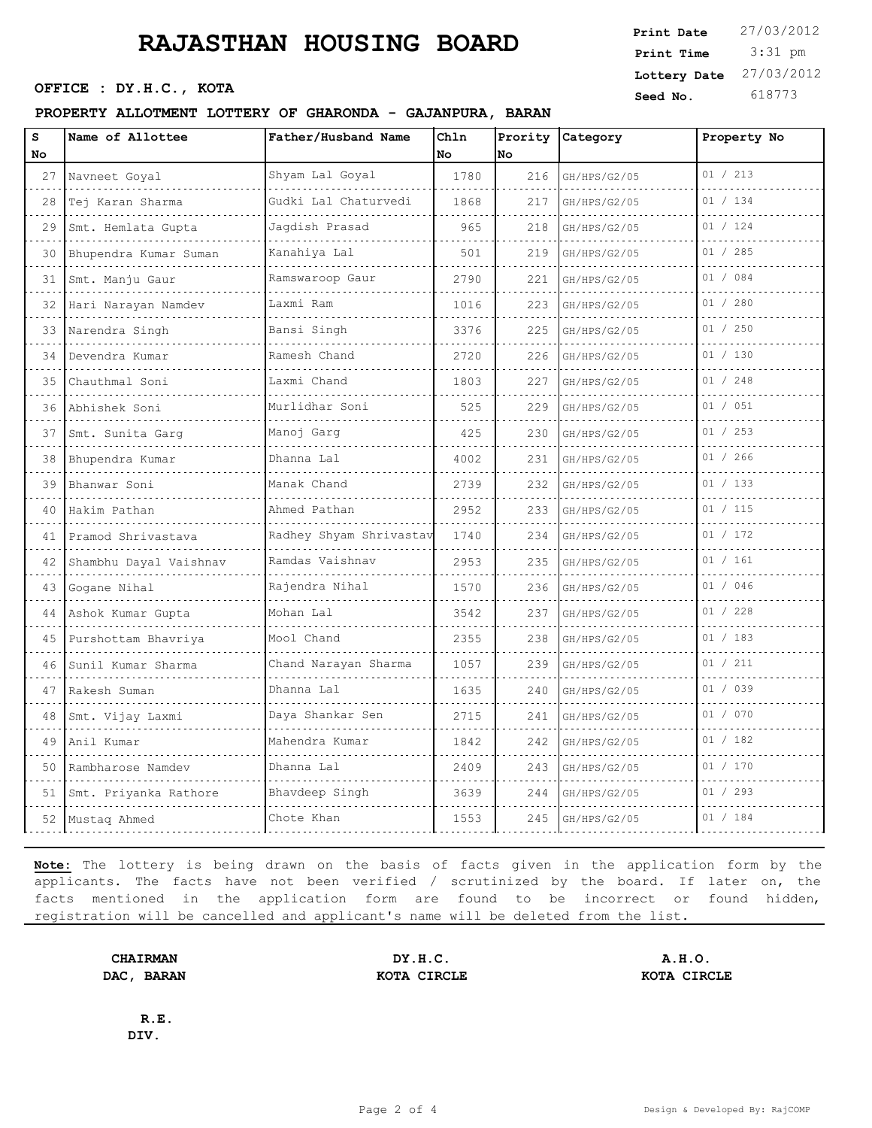## **RAJASTHAN HOUSING BOARD**

**Seed No. 618773 OFFICE : DY.H.C., KOTA** 

| seeu no.<br>PROPERTY ALLOTMENT LOTTERY OF GHARONDA - GAJANPURA, BARAN |                        |                         |              |      |                  |             |  |
|-----------------------------------------------------------------------|------------------------|-------------------------|--------------|------|------------------|-------------|--|
| s<br>No                                                               | Name of Allottee       | Father/Husband Name     | Chln<br>l No | INo. | Prority Category | Property No |  |
| 27                                                                    | Navneet Goyal          | Shyam Lal Goyal         | 1780         | 216  | GH/HPS/G2/05     | 01 / 213    |  |
| 28                                                                    | Tej Karan Sharma       | Gudki Lal Chaturvedi    | 1868         | 217  | GH/HPS/G2/05     | 01 / 134    |  |
| 29                                                                    | Smt. Hemlata Gupta     | Jaqdish Prasad          | 965          | 218  | GH/HPS/G2/05     | 01 / 124    |  |
| 30                                                                    | Bhupendra Kumar Suman  | Kanahiya Lal            | 501          | 219  | GH/HPS/G2/05     | 01 / 285    |  |
| 31                                                                    | Smt. Manju Gaur        | Ramswaroop Gaur         | 2790         | 221  | GH/HPS/G2/05     | 01 / 084    |  |
| 32                                                                    | Hari Narayan Namdev    | Laxmi Ram               | 1016         | 223  | GH/HPS/G2/05     | 01 / 280    |  |
| 33                                                                    | Narendra Singh         | Bansi Singh             | 3376         | 225  | GH/HPS/G2/05     | 01 / 250    |  |
|                                                                       | 34 Devendra Kumar      | Ramesh Chand            | 2720         | 226  | GH/HPS/G2/05     | 01 / 130    |  |
| 35                                                                    | Chauthmal Soni         | Laxmi Chand             | 1803         | 227  | GH/HPS/G2/05     | 01 / 248    |  |
| 36                                                                    | Abhishek Soni          | Murlidhar Soni          | 525          | 229  | GH/HPS/G2/05     | 01 / 051    |  |
| 37                                                                    | Smt. Sunita Garq       | Manoj Garq              | 425          | 230  | GH/HPS/G2/05     | 01 / 253    |  |
| 38                                                                    | Bhupendra Kumar        | Dhanna Lal              | 4002         | 231  | GH/HPS/G2/05     | 01 / 266    |  |
| 39                                                                    | Bhanwar Soni           | Manak Chand             | 2739         | 232  | GH/HPS/G2/05     | 01 / 133    |  |
| 40                                                                    | Hakim Pathan           | Ahmed Pathan            | 2952         | 233  | GH/HPS/G2/05     | 01 / 115    |  |
| 41                                                                    | Pramod Shrivastava     | Radhey Shyam Shrivastav | 1740         |      | 234 GH/HPS/G2/05 | 01 / 172    |  |
| 42                                                                    | Shambhu Dayal Vaishnav | Ramdas Vaishnav         | 2953         |      | 235 GH/HPS/G2/05 | 01 / 161    |  |
|                                                                       |                        |                         |              |      |                  |             |  |

| 41 | Pramod Shrivastava     | Radhey Shyam Shrivastav | 1740 |     | 234 GH/HPS/G2/05 | 01 / 172 |
|----|------------------------|-------------------------|------|-----|------------------|----------|
| 42 | Shambhu Dayal Vaishnav | Ramdas Vaishnav         | 2953 |     | 235 GH/HPS/G2/05 | 01 / 161 |
| 43 | Gogane Nihal           | Rajendra Nihal          | 1570 |     | 236 GH/HPS/G2/05 | 01 / 046 |
| 44 | Ashok Kumar Gupta      | Mohan Lal               | 3542 | 237 | GH/HPS/G2/05     | 01 / 228 |
| 45 | Purshottam Bhavriya    | Mool Chand              | 2355 |     | 238 GH/HPS/G2/05 | 01 / 183 |
| 46 | Sunil Kumar Sharma     | Chand Narayan Sharma    | 1057 |     | 239 GH/HPS/G2/05 | 01 / 211 |
| 47 | Rakesh Suman           | Dhanna Lal              | 1635 |     | 240 GH/HPS/G2/05 | 01 / 039 |
| 48 | Smt. Vijay Laxmi       | Daya Shankar Sen        | 2715 |     | 241 GH/HPS/G2/05 | 01 / 070 |
| 49 | Anil Kumar             | Mahendra Kumar          | 1842 |     | 242 GH/HPS/G2/05 | 01 / 182 |
| 50 | Rambharose Namdev      | Dhanna Lal              | 2409 |     | 243 GH/HPS/G2/05 | 01 / 170 |
| 51 | Smt. Priyanka Rathore  | Bhavdeep Singh          | 3639 | 244 | GH/HPS/G2/05     | 01 / 293 |
| 52 | Mustaq Ahmed           | Chote Khan              | 1553 |     | 245 GH/HPS/G2/05 | 01 / 184 |

**Note:** The lottery is being drawn on the basis of facts given in the application form by the applicants. The facts have not been verified / scrutinized by the board. If later on, the facts mentioned in the application form are found to be incorrect or found hidden, registration will be cancelled and applicant's name will be deleted from the list.

**CHAIRMAN DY.H.C. A.H.O. DAC, BARAN KOTA CIRCLE KOTA CIRCLE**

**R.E. DIV.**

3:31 pm

**Print Date**  $27/03/2012$ 

**Lottery Date** 27/03/2012

**Print Time**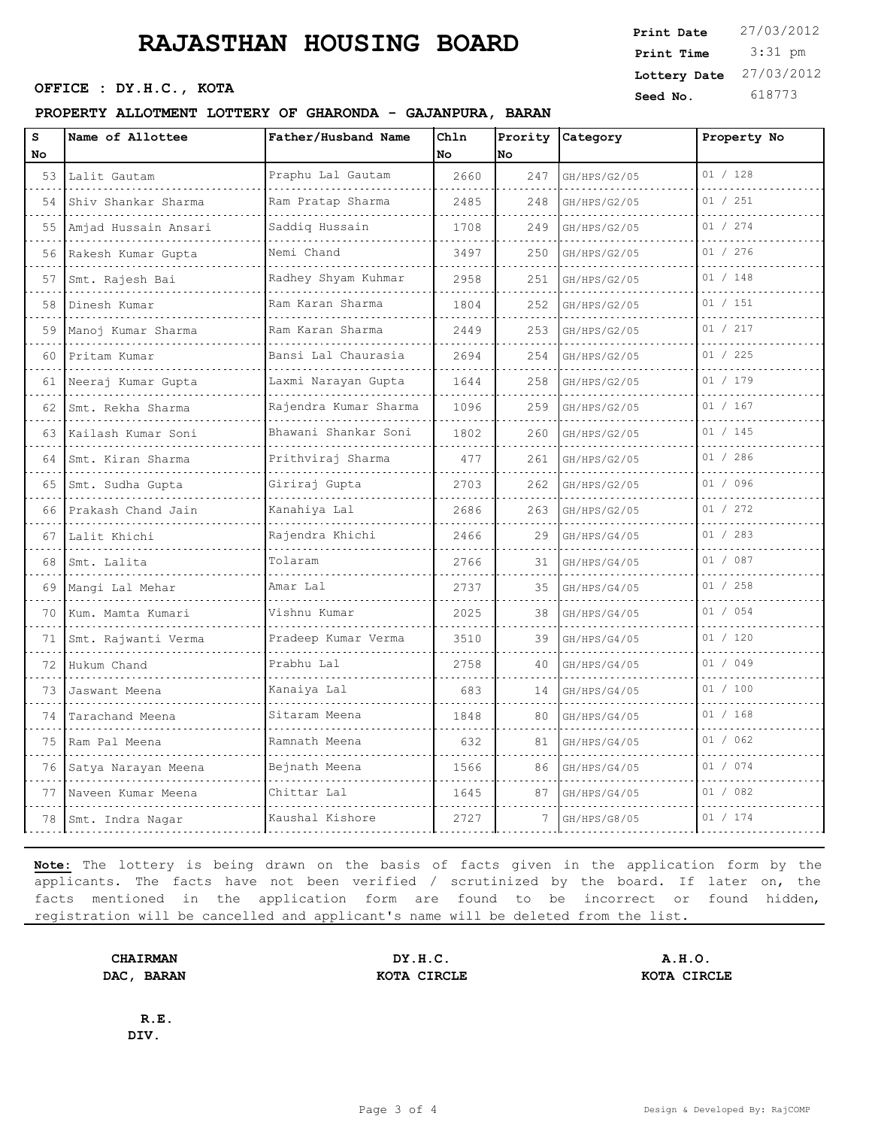## **RAJASTHAN HOUSING BOARD**

#### **PROPERTY ALLOTMENT LOTTERY OF GHARONDA - GAJANPURA, BARAN**

| <b>RAJASTHAN HOUSING BOARD</b> | Print Date              | 27/03/2012 |
|--------------------------------|-------------------------|------------|
|                                | Print Time              | 3:31 pm    |
|                                | Lottery Date 27/03/2012 |            |
| OFFICE : DY.H.C., KOTA         | Seed No.                | 618773     |

| S<br>No | Name of Allottee           | Father/Husband Name       | Chln<br>No | No  | Prority Category | Property No |
|---------|----------------------------|---------------------------|------------|-----|------------------|-------------|
|         | 53 Lalit Gautam            | Praphu Lal Gautam<br>.    | 2660       | 247 | GH/HPS/G2/05     | 01 / 128    |
| 54      | Shiv Shankar Sharma        | Ram Pratap Sharma         | 2485       | 248 | GH/HPS/G2/05     | 01 / 251    |
| 55      | .<br>Amjad Hussain Ansari  | Saddiq Hussain            | 1708       | 249 | GH/HPS/G2/05     | 01 / 274    |
|         | .<br>56 Rakesh Kumar Gupta | Nemi Chand                | 3497       | 250 | GH/HPS/G2/05     | 01 / 276    |
| 57      | Smt. Rajesh Bai            | Radhey Shyam Kuhmar       | 2958       | 251 | GH/HPS/G2/05     | 01 / 148    |
| 58      | Dinesh Kumar               | Ram Karan Sharma<br>.     | 1804       | 252 | GH/HPS/G2/05     | 01 / 151    |
| 59      | Manoj Kumar Sharma         | Ram Karan Sharma          | 2449       | 253 | GH/HPS/G2/05     | 01 / 217    |
| 60 -    | Pritam Kumar<br>.          | Bansi Lal Chaurasia<br>.  | 2694       | 254 | GH/HPS/G2/05     | 01 / 225    |
|         | 61   Neeraj Kumar Gupta    | Laxmi Narayan Gupta       | 1644       | 258 | GH/HPS/G2/05     | 01 / 179    |
| 62      | Smt. Rekha Sharma<br>.     | Rajendra Kumar Sharma     | 1096       | 259 | GH/HPS/G2/05     | 01 / 167    |
| 63      | Kailash Kumar Soni<br>.    | Bhawani Shankar Soni<br>. | 1802       | 260 | GH/HPS/G2/05     | 01 / 145    |
| 64      | Smt. Kiran Sharma<br>.     | Prithviraj Sharma<br>.    | 477        | 261 | GH/HPS/G2/05     | 01 / 286    |
| 65      | Smt. Sudha Gupta           | Giriraj Gupta             | 2703       | 262 | GH/HPS/G2/05     | 01 / 096    |
| 66      | Prakash Chand Jain         | Kanahiya Lal              | 2686       | 263 | GH/HPS/G2/05     | 01 / 272    |
| 67      | Lalit Khichi               | Rajendra Khichi           | 2466       | 29  | GH/HPS/G4/05     | 01 / 283    |
| 68      | Smt. Lalita                | Tolaram                   | 2766       | 31  | GH/HPS/G4/05     | 01 / 087    |
| 69      | Mangi Lal Mehar            | Amar Lal                  | 2737       | 35  | GH/HPS/G4/05     | 01 / 258    |
|         | 70   Kum. Mamta Kumari     | Vishnu Kumar              | 2025       | 38  | GH/HPS/G4/05     | 01 / 054    |
|         | 71   Smt. Rajwanti Verma   | Pradeep Kumar Verma       | 3510       | 39  | GH/HPS/G4/05     | 01 / 120    |
| 72      | Hukum Chand                | Prabhu Lal                | 2758       | 40  | GH/HPS/G4/05     | 01 / 049    |
| 73.     | Jaswant Meena              | Kanaiya Lal               | 683        | 14  | GH/HPS/G4/05     | 01 / 100    |
| 74      | Tarachand Meena            | Sitaram Meena             | 1848       | 80  | GH/HPS/G4/05     | 01 / 168    |
| 75      | Ram Pal Meena              | Ramnath Meena             | 632        | 81  | GH/HPS/G4/05     | 01 / 062    |
| 76      | Satya Narayan Meena        | Bejnath Meena             | 1566       | 86  | GH/HPS/G4/05     | 01 / 074    |
| 77      | Naveen Kumar Meena         | Chittar Lal               | 1645       | 87  | GH/HPS/G4/05     | 01 / 082    |
| 78      | Smt. Indra Nagar           | Kaushal Kishore           | 2727       | 7   | GH/HPS/G8/05     | 01 / 174    |
|         |                            | .                         |            |     |                  |             |

**Note:** The lottery is being drawn on the basis of facts given in the application form by the applicants. The facts have not been verified / scrutinized by the board. If later on, the facts mentioned in the application form are found to be incorrect or found hidden, registration will be cancelled and applicant's name will be deleted from the list.

**CHAIRMAN DY.H.C. A.H.O. DAC, BARAN KOTA CIRCLE KOTA CIRCLE**

**R.E. DIV.**